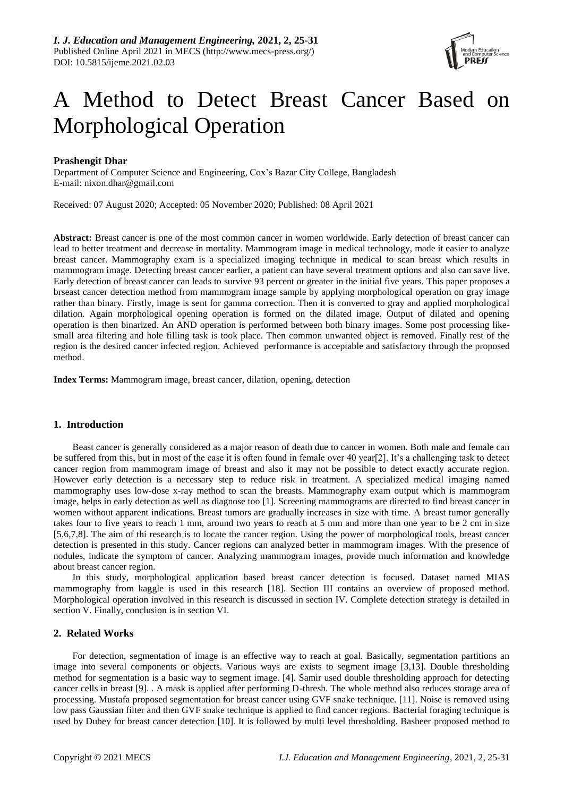

# A Method to Detect Breast Cancer Based on Morphological Operation

# **Prashengit Dhar**

Department of Computer Science and Engineering, Cox's Bazar City College, Bangladesh E-mail: nixon.dhar@gmail.com

Received: 07 August 2020; Accepted: 05 November 2020; Published: 08 April 2021

**Abstract:** Breast cancer is one of the most common cancer in women worldwide. Early detection of breast cancer can lead to better treatment and decrease in mortality. Mammogram image in medical technology, made it easier to analyze breast cancer. Mammography exam is a specialized imaging technique in medical to scan breast which results in mammogram image. Detecting breast cancer earlier, a patient can have several treatment options and also can save live. Early detection of breast cancer can leads to survive 93 percent or greater in the initial five years. This paper proposes a brseast cancer detection method from mammogram image sample by applying morphological operation on gray image rather than binary. Firstly, image is sent for gamma correction. Then it is converted to gray and applied morphological dilation. Again morphological opening operation is formed on the dilated image. Output of dilated and opening operation is then binarized. An AND operation is performed between both binary images. Some post processing likesmall area filtering and hole filling task is took place. Then common unwanted object is removed. Finally rest of the region is the desired cancer infected region. Achieved performance is acceptable and satisfactory through the proposed method.

**Index Terms:** Mammogram image, breast cancer, dilation, opening, detection

#### **1. Introduction**

Beast cancer is generally considered as a major reason of death due to cancer in women. Both male and female can be suffered from this, but in most of the case it is often found in female over 40 year[2]. It's a challenging task to detect cancer region from mammogram image of breast and also it may not be possible to detect exactly accurate region. However early detection is a necessary step to reduce risk in treatment. A specialized medical imaging named mammography uses low-dose x-ray method to scan the breasts. Mammography exam output which is mammogram image, helps in early detection as well as diagnose too [1]. Screening mammograms are directed to find breast cancer in women without apparent indications. Breast tumors are gradually increases in size with time. A breast tumor generally takes four to five years to reach 1 mm, around two years to reach at 5 mm and more than one year to be 2 cm in size [5,6,7,8]. The aim of thi research is to locate the cancer region. Using the power of morphological tools, breast cancer detection is presented in this study. Cancer regions can analyzed better in mammogram images. With the presence of nodules, indicate the symptom of cancer. Analyzing mammogram images, provide much information and knowledge about breast cancer region.

In this study, morphological application based breast cancer detection is focused. Dataset named MIAS mammography from kaggle is used in this research [18]. Section III contains an overview of proposed method. Morphological operation involved in this research is discussed in section IV. Complete detection strategy is detailed in section V. Finally, conclusion is in section VI.

## **2. Related Works**

For detection, segmentation of image is an effective way to reach at goal. Basically, segmentation partitions an image into several components or objects. Various ways are exists to segment image [3,13]. Double thresholding method for segmentation is a basic way to segment image. [4]. Samir used double thresholding approach for detecting cancer cells in breast [9]. . A mask is applied after performing D-thresh. The whole method also reduces storage area of processing. Mustafa proposed segmentation for breast cancer using GVF snake technique. [11]. Noise is removed using low pass Gaussian filter and then GVF snake technique is applied to find cancer regions. Bacterial foraging technique is used by Dubey for breast cancer detection [10]. It is followed by multi level thresholding. Basheer proposed method to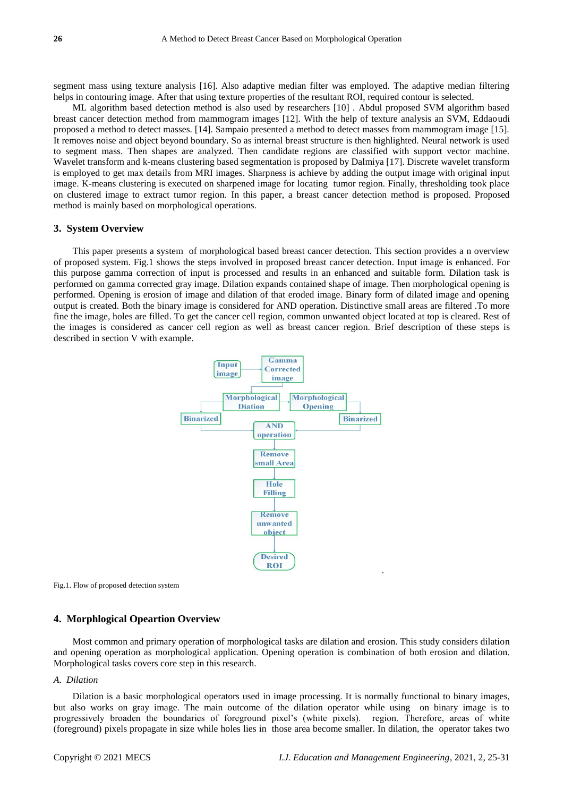segment mass using texture analysis [16]. Also adaptive median filter was employed. The adaptive median filtering helps in contouring image. After that using texture properties of the resultant ROI, required contour is selected.

ML algorithm based detection method is also used by researchers [10] . Abdul proposed SVM algorithm based breast cancer detection method from mammogram images [12]. With the help of texture analysis an SVM, Eddaoudi proposed a method to detect masses. [14]. Sampaio presented a method to detect masses from mammogram image [15]. It removes noise and object beyond boundary. So as internal breast structure is then highlighted. Neural network is used to segment mass. Then shapes are analyzed. Then candidate regions are classified with support vector machine. Wavelet transform and k-means clustering based segmentation is proposed by Dalmiya [17]. Discrete wavelet transform is employed to get max details from MRI images. Sharpness is achieve by adding the output image with original input image. K-means clustering is executed on sharpened image for locating tumor region. Finally, thresholding took place on clustered image to extract tumor region. In this paper, a breast cancer detection method is proposed. Proposed method is mainly based on morphological operations.

#### **3. System Overview**

This paper presents a system of morphological based breast cancer detection. This section provides a n overview of proposed system. Fig.1 shows the steps involved in proposed breast cancer detection. Input image is enhanced. For this purpose gamma correction of input is processed and results in an enhanced and suitable form. Dilation task is performed on gamma corrected gray image. Dilation expands contained shape of image. Then morphological opening is performed. Opening is erosion of image and dilation of that eroded image. Binary form of dilated image and opening output is created. Both the binary image is considered for AND operation. Distinctive small areas are filtered .To more fine the image, holes are filled. To get the cancer cell region, common unwanted object located at top is cleared. Rest of the images is considered as cancer cell region as well as breast cancer region. Brief description of these steps is described in section V with example.



Fig.1. Flow of proposed detection system

## **4. Morphlogical Opeartion Overview**

Most common and primary operation of morphological tasks are dilation and erosion. This study considers dilation and opening operation as morphological application. Opening operation is combination of both erosion and dilation. Morphological tasks covers core step in this research.

## *A. Dilation*

Dilation is a basic morphological operators used in image processing. It is normally functional to binary images, but also works on gray image. The main outcome of the dilation operator while using on binary image is to progressively broaden the boundaries of foreground pixel's (white pixels). region. Therefore, areas of white (foreground) pixels propagate in size while holes lies in those area become smaller. In dilation, the operator takes two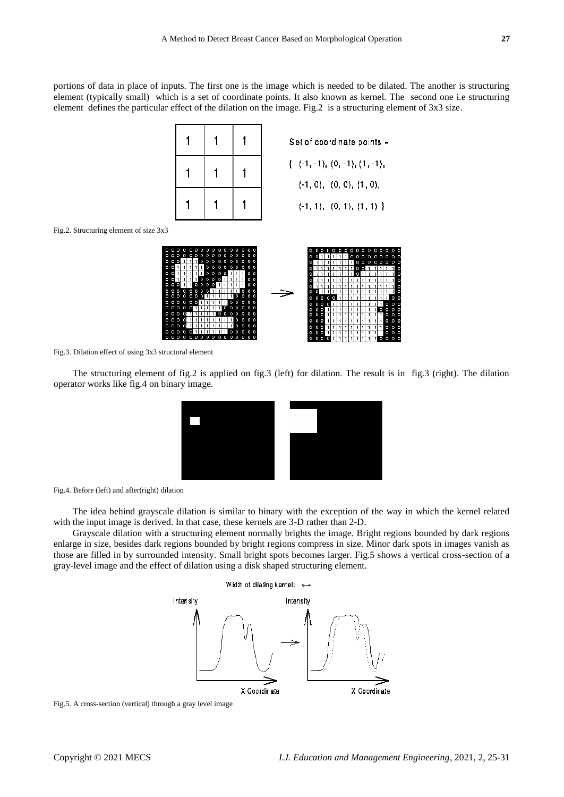portions of data in place of inputs. The first one is the image which is needed to be dilated. The another is structuring element (typically small) which is a set of coordinate points. It also known as kernel. The second one i.e structuring element defines the particular effect of the dilation on the image. Fig.2 is a structuring element of 3x3 size.

|  |  | Set of coordinate points =                                                                 |
|--|--|--------------------------------------------------------------------------------------------|
|  |  | $\{-(-1,-1), (0,-1), (1,-1),\}$<br>$(-1, 0), (0, 0), (1, 0),$<br>$(-1, 1), (0, 1), (1, 1)$ |
|  |  |                                                                                            |

Fig.2. Structuring element of size 3x3



Fig.3. Dilation effect of using 3x3 structural element

The structuring element of fig.2 is applied on fig.3 (left) for dilation. The result is in fig.3 (right). The dilation operator works like fig.4 on binary image.



Fig.4. Before (left) and after(right) dilation

The idea behind grayscale dilation is similar to binary with the exception of the way in which the kernel related with the input image is derived. In that case, these kernels are 3-D rather than 2-D.

Grayscale dilation with a structuring element normally brights the image. Bright regions bounded by dark regions enlarge in size, besides dark regions bounded by bright regions compress in size. Minor dark spots in images vanish as those are filled in by surrounded intensity. Small bright spots becomes larger. Fig.5 shows a vertical cross-section of a gray-level image and the effect of dilation using a disk shaped structuring element.



Fig.5. A cross-section (vertical) through a gray level image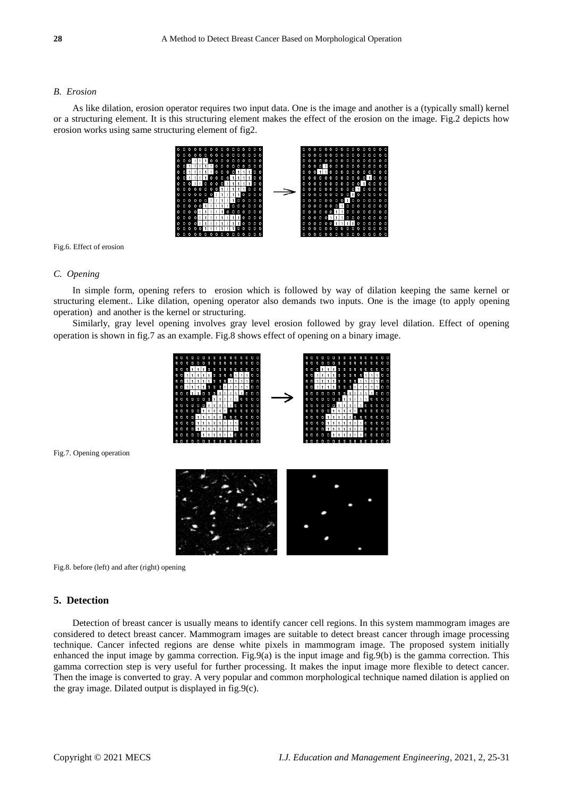### *B. Erosion*

As like dilation, erosion operator requires two input data. One is the image and another is a (typically small) kernel or a structuring element. It is this structuring element makes the effect of the erosion on the image. Fig.2 depicts how erosion works using same structuring element of fig2.



Fig.6. Effect of erosion

#### *C. Opening*

In simple form, opening refers to erosion which is followed by way of dilation keeping the same kernel or structuring element.. Like dilation, opening operator also demands two inputs. One is the image (to apply opening operation) and another is the kernel or structuring.

Similarly, gray level opening involves gray level erosion followed by gray level dilation. Effect of opening operation is shown in fig.7 as an example. Fig.8 shows effect of opening on a binary image.



Fig.7. Opening operation

Fig.8. before (left) and after (right) opening

## **5. Detection**

Detection of breast cancer is usually means to identify cancer cell regions. In this system mammogram images are considered to detect breast cancer. Mammogram images are suitable to detect breast cancer through image processing technique. Cancer infected regions are dense white pixels in mammogram image. The proposed system initially enhanced the input image by gamma correction. Fig.9(a) is the input image and fig.9(b) is the gamma correction. This gamma correction step is very useful for further processing. It makes the input image more flexible to detect cancer. Then the image is converted to gray. A very popular and common morphological technique named dilation is applied on the gray image. Dilated output is displayed in fig.9(c).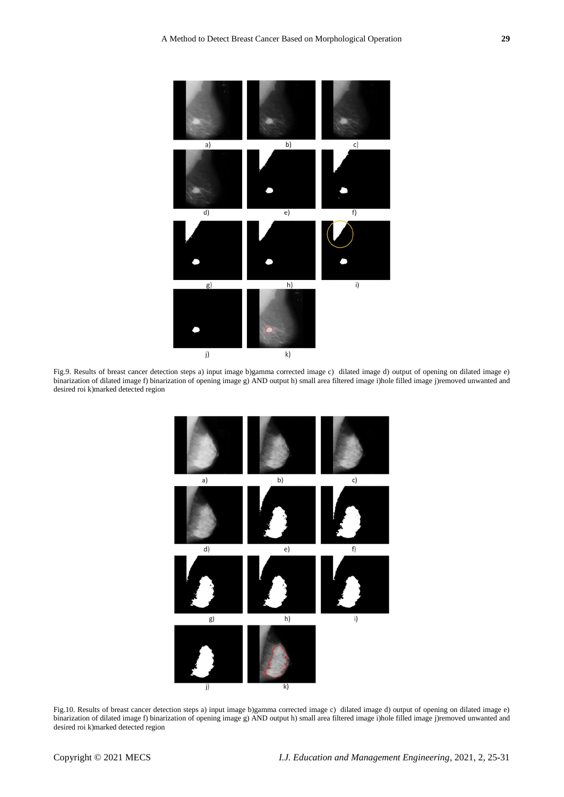

Fig.9. Results of breast cancer detection steps a) input image b)gamma corrected image c) dilated image d) output of opening on dilated image e) binarization of dilated image f) binarization of opening image g) AND output h) small area filtered image i)hole filled image j)removed unwanted and desired roi k)marked detected region



Fig.10. Results of breast cancer detection steps a) input image b)gamma corrected image c) dilated image d) output of opening on dilated image e) binarization of dilated image f) binarization of opening image g) AND output h) small area filtered image i)hole filled image j)removed unwanted and desired roi k)marked detected region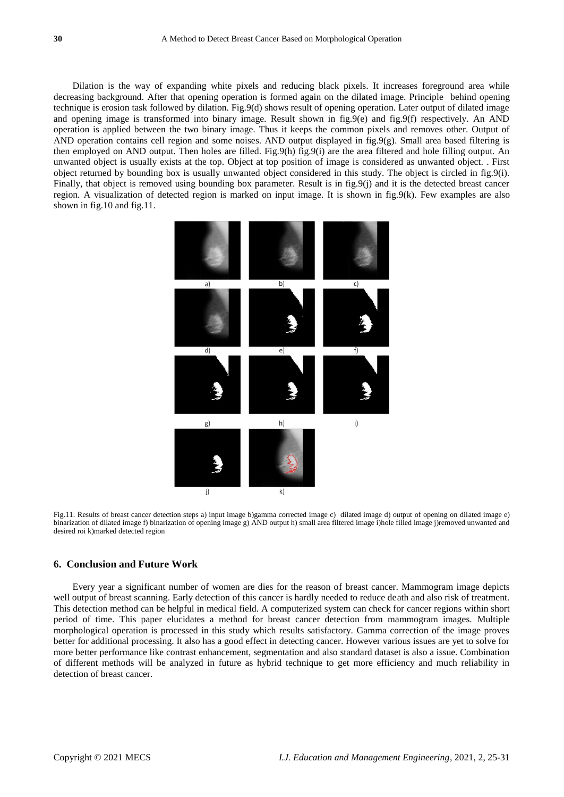Dilation is the way of expanding white pixels and reducing black pixels. It increases foreground area while decreasing background. After that opening operation is formed again on the dilated image. Principle behind opening technique is erosion task followed by dilation. Fig.9(d) shows result of opening operation. Later output of dilated image and opening image is transformed into binary image. Result shown in fig.9(e) and fig.9(f) respectively. An AND operation is applied between the two binary image. Thus it keeps the common pixels and removes other. Output of AND operation contains cell region and some noises. AND output displayed in  $fig.9(g)$ . Small area based filtering is then employed on AND output. Then holes are filled. Fig.9(h) fig.9(i) are the area filtered and hole filling output. An unwanted object is usually exists at the top. Object at top position of image is considered as unwanted object. . First object returned by bounding box is usually unwanted object considered in this study. The object is circled in fig.9(i). Finally, that object is removed using bounding box parameter. Result is in fig.9(j) and it is the detected breast cancer region. A visualization of detected region is marked on input image. It is shown in fig.9(k). Few examples are also shown in fig.10 and fig.11.



Fig.11. Results of breast cancer detection steps a) input image b)gamma corrected image c) dilated image d) output of opening on dilated image e) binarization of dilated image f) binarization of opening image g) AND output h) small area filtered image i)hole filled image j)removed unwanted and desired roi k)marked detected region

#### **6. Conclusion and Future Work**

Every year a significant number of women are dies for the reason of breast cancer. Mammogram image depicts well output of breast scanning. Early detection of this cancer is hardly needed to reduce death and also risk of treatment. This detection method can be helpful in medical field. A computerized system can check for cancer regions within short period of time. This paper elucidates a method for breast cancer detection from mammogram images. Multiple morphological operation is processed in this study which results satisfactory. Gamma correction of the image proves better for additional processing. It also has a good effect in detecting cancer. However various issues are yet to solve for more better performance like contrast enhancement, segmentation and also standard dataset is also a issue. Combination of different methods will be analyzed in future as hybrid technique to get more efficiency and much reliability in detection of breast cancer.